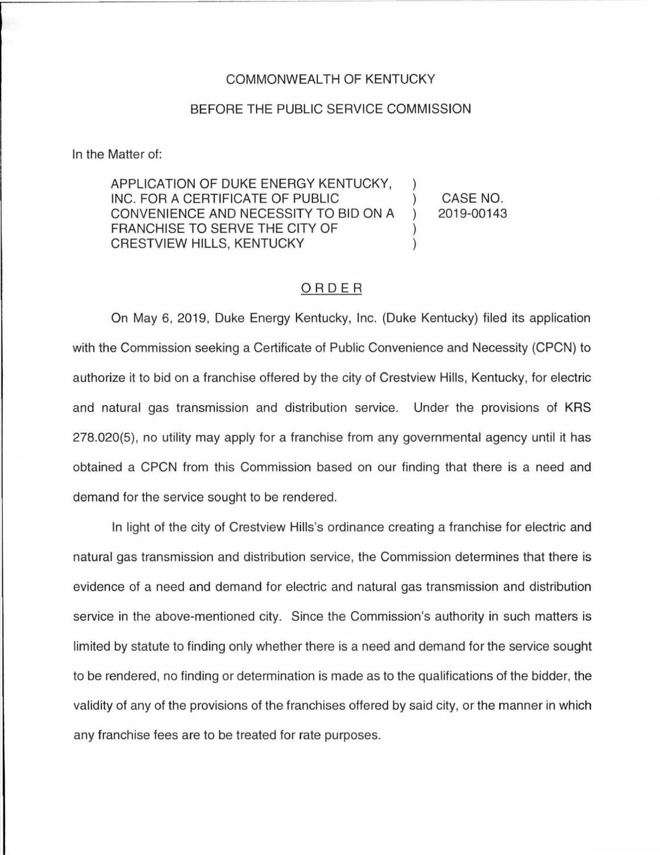## COMMONWEALTH OF KENTUCKY

## BEFORE THE PUBLIC SERVICE COMMISSION

In the Matter of:

APPLICATION OF DUKE ENERGY KENTUCKY, INC. FOR A CERTIFICATE OF PUBLIC ) CONVENIENCE AND NECESSITY TO BID ON A ) FRANCHISE TO SERVE THE CITY OF **CRESTVIEW HILLS, KENTUCKY** 

CASE NO. 2019-00143

## ORDER

On May 6, 2019, Duke Energy Kentucky, Inc. (Duke Kentucky) filed its application with the Commission seeking a Certificate of Public Convenience and Necessity (CPCN) to authorize it to bid on a franchise offered by the city of Crestview Hills, Kentucky, for electric and natural gas transmission and distribution service. Under the provisions of KRS 278.020(5), no utility may apply for a franchise from any governmental agency until it has obtained a CPCN from this Commission based on our finding that there is a need and demand for the service sought to be rendered.

In light of the city of Crestview Hills's ordinance creating a franchise for electric and natural gas transmission and distribution service, the Commission determines that there is evidence of a need and demand for electric and natural gas transmission and distribution service in the above-mentioned city. Since the Commission's authority in such matters is limited by statute to finding only whether there is a need and demand for the service sought to be rendered, no finding or determination is made as to the qualifications of the bidder, the validity of any of the provisions of the franchises offered by said city, or the manner in which any franchise fees are to be treated for rate purposes.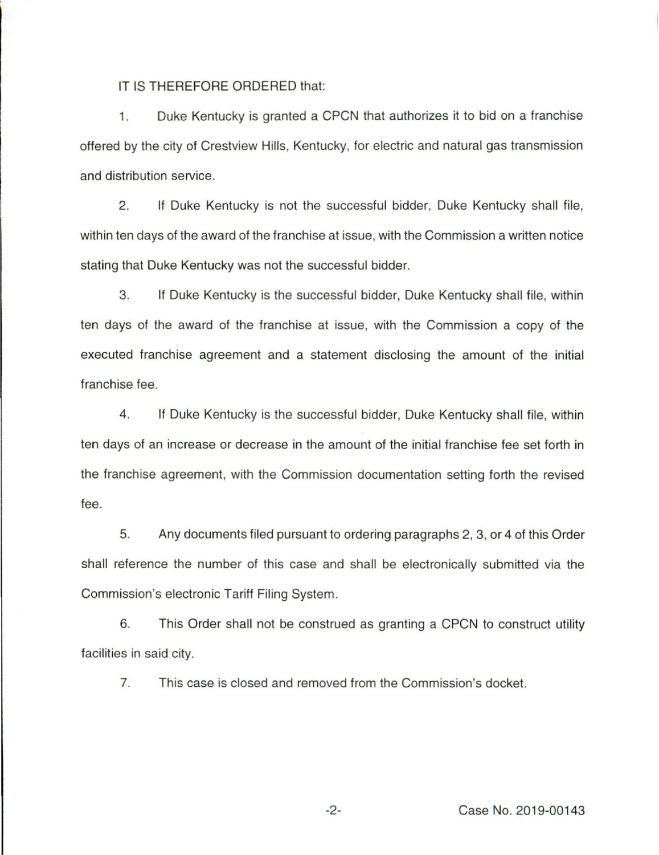IT IS THEREFORE ORDERED that:

1. Duke Kentucky is granted a CPCN that authorizes it to bid on a franchise offered by the city of Crestview Hills, Kentucky, for electric and natural gas transmission and distribution service.

2. If Duke Kentucky is not the successful bidder, Duke Kentucky shall file, within ten days of the award of the franchise at issue, with the Commission a written notice stating that Duke Kentucky was not the successful bidder.

3. If Duke Kentucky is the successful bidder, Duke Kentucky shall file, within ten days of the award of the franchise at issue, with the Commission a copy of the executed franchise agreement and a statement disclosing the amount of the initial franchise fee.

4. If Duke Kentucky is the successful bidder, Duke Kentucky shall file, within ten days of an increase or decrease in the amount of the initial franchise fee set forth in the franchise agreement, with the Commission documentation setting forth the revised fee.

5. Any documents filed pursuant to ordering paragraphs 2, 3, or 4 of this Order shall reference the number of this case and shall be electronically submitted via the Commission's electronic Tariff Filing System.

6. This Order shall not be construed as granting a CPCN to construct utility facilities in said city.

7. This case is closed and removed from the Commission's docket.

-2- Case No. 2019-00143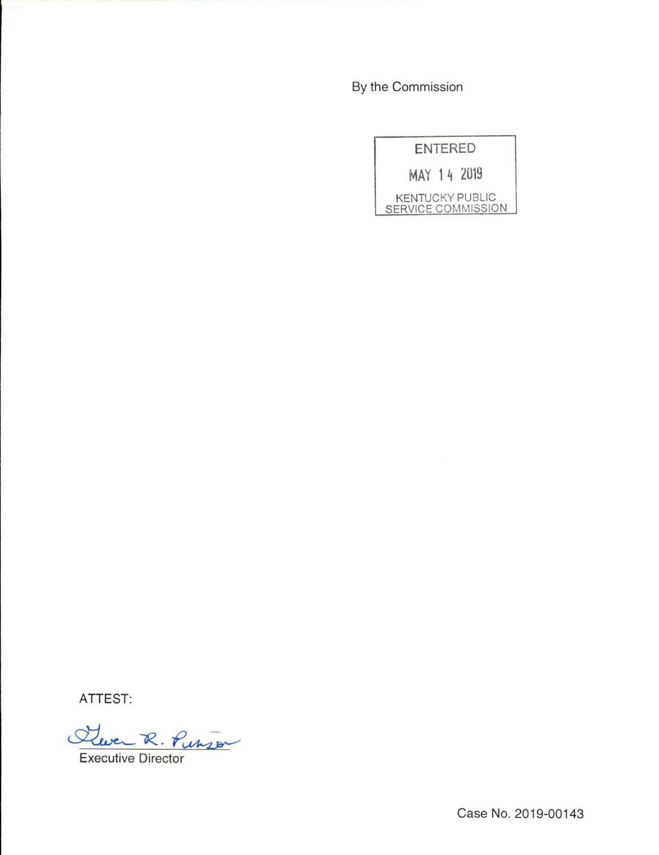By the Commission

| <b>ENTERED</b>            |  |                 |  |
|---------------------------|--|-----------------|--|
| MAY 14 2019               |  |                 |  |
| <b>SERVICE COMMISSION</b> |  | KENTUCKY PUBLIC |  |

ATTEST:<br>Cleven R. Punson

Executive Director